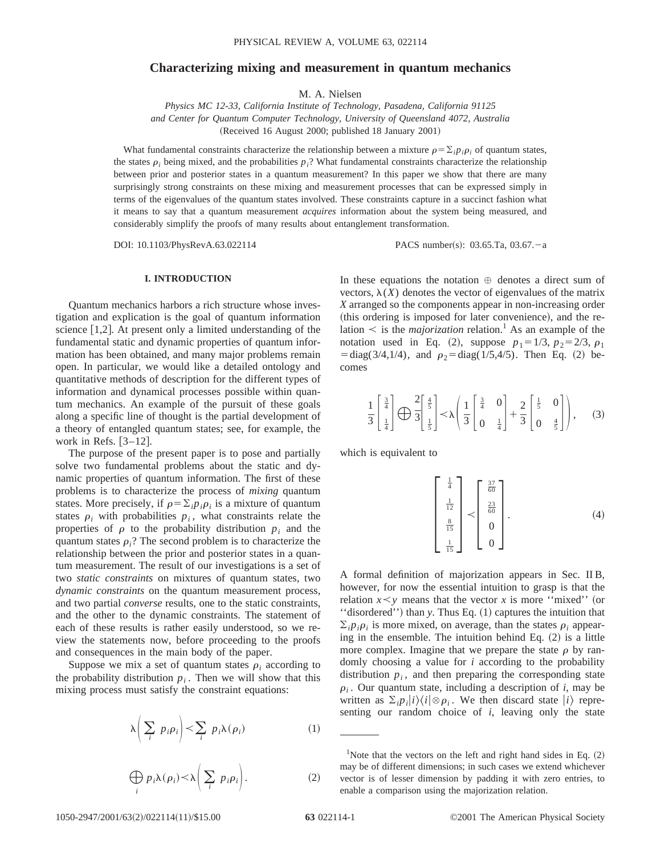## **Characterizing mixing and measurement in quantum mechanics**

M. A. Nielsen

*Physics MC 12-33, California Institute of Technology, Pasadena, California 91125 and Center for Quantum Computer Technology, University of Queensland 4072, Australia* (Received 16 August 2000; published 18 January 2001)

What fundamental constraints characterize the relationship between a mixture  $\rho = \sum_i p_i \rho_i$  of quantum states, the states  $\rho_i$  being mixed, and the probabilities  $p_i$ ? What fundamental constraints characterize the relationship between prior and posterior states in a quantum measurement? In this paper we show that there are many surprisingly strong constraints on these mixing and measurement processes that can be expressed simply in terms of the eigenvalues of the quantum states involved. These constraints capture in a succinct fashion what it means to say that a quantum measurement *acquires* information about the system being measured, and considerably simplify the proofs of many results about entanglement transformation.

DOI: 10.1103/PhysRevA.63.022114 PACS number(s): 03.65.Ta, 03.67.-a

## **I. INTRODUCTION**

Quantum mechanics harbors a rich structure whose investigation and explication is the goal of quantum information science  $[1,2]$ . At present only a limited understanding of the fundamental static and dynamic properties of quantum information has been obtained, and many major problems remain open. In particular, we would like a detailed ontology and quantitative methods of description for the different types of information and dynamical processes possible within quantum mechanics. An example of the pursuit of these goals along a specific line of thought is the partial development of a theory of entangled quantum states; see, for example, the work in Refs.  $\lceil 3-12 \rceil$ .

The purpose of the present paper is to pose and partially solve two fundamental problems about the static and dynamic properties of quantum information. The first of these problems is to characterize the process of *mixing* quantum states. More precisely, if  $\rho = \sum_i p_i \rho_i$  is a mixture of quantum states  $\rho_i$  with probabilities  $p_i$ , what constraints relate the properties of  $\rho$  to the probability distribution  $p_i$  and the quantum states  $\rho_i$ ? The second problem is to characterize the relationship between the prior and posterior states in a quantum measurement. The result of our investigations is a set of two *static constraints* on mixtures of quantum states, two *dynamic constraints* on the quantum measurement process, and two partial *converse* results, one to the static constraints, and the other to the dynamic constraints. The statement of each of these results is rather easily understood, so we review the statements now, before proceeding to the proofs and consequences in the main body of the paper.

Suppose we mix a set of quantum states  $\rho_i$  according to the probability distribution  $p_i$ . Then we will show that this mixing process must satisfy the constraint equations:

$$
\lambda \left( \sum_{i} p_{i} \rho_{i} \right) < \sum_{i} p_{i} \lambda(\rho_{i}) \tag{1}
$$

$$
\bigoplus_{i} p_{i} \lambda(\rho_{i}) < \lambda \bigg( \sum_{i} p_{i} \rho_{i} \bigg). \tag{2}
$$

In these equations the notation  $\oplus$  denotes a direct sum of vectors,  $\lambda(X)$  denotes the vector of eigenvalues of the matrix *X* arranged so the components appear in non-increasing order (this ordering is imposed for later convenience), and the relation  $\leq$  is the *majorization* relation.<sup>1</sup> As an example of the notation used in Eq. (2), suppose  $p_1 = 1/3$ ,  $p_2 = 2/3$ ,  $\rho_1$  $= diag(3/4, 1/4)$ , and  $\rho_2 = diag(1/5, 4/5)$ . Then Eq. (2) becomes

$$
\frac{1}{3} \begin{bmatrix} \frac{3}{4} \\ \frac{1}{4} \end{bmatrix} \bigoplus \frac{2}{3} \begin{bmatrix} \frac{4}{5} \\ \frac{1}{5} \end{bmatrix} < \lambda \left( \frac{1}{3} \begin{bmatrix} \frac{3}{4} & 0 \\ 0 & \frac{1}{4} \end{bmatrix} + \frac{2}{3} \begin{bmatrix} \frac{1}{5} & 0 \\ 0 & \frac{4}{5} \end{bmatrix} \right), \quad (3)
$$

which is equivalent to

$$
\begin{bmatrix} \frac{1}{4} \\ \frac{1}{12} \\ \frac{8}{15} \\ \frac{1}{15} \end{bmatrix} < \begin{bmatrix} \frac{37}{60} \\ \frac{23}{60} \\ 0 \\ 0 \end{bmatrix} . \tag{4}
$$

A formal definition of majorization appears in Sec. II B, however, for now the essential intuition to grasp is that the relation  $x \leq y$  means that the vector *x* is more "mixed" (or "disordered") than *y*. Thus Eq. (1) captures the intuition that  $\sum_i p_i \rho_i$  is more mixed, on average, than the states  $\rho_i$  appearing in the ensemble. The intuition behind Eq.  $(2)$  is a little more complex. Imagine that we prepare the state  $\rho$  by randomly choosing a value for *i* according to the probability distribution  $p_i$ , and then preparing the corresponding state  $\rho_i$ . Our quantum state, including a description of *i*, may be written as  $\sum_{i} p_i |i\rangle\langle i| \otimes \rho_i$ . We then discard state  $|i\rangle$  representing our random choice of *i*, leaving only the state

<sup>&</sup>lt;sup>1</sup>Note that the vectors on the left and right hand sides in Eq.  $(2)$ may be of different dimensions; in such cases we extend whichever vector is of lesser dimension by padding it with zero entries, to enable a comparison using the majorization relation.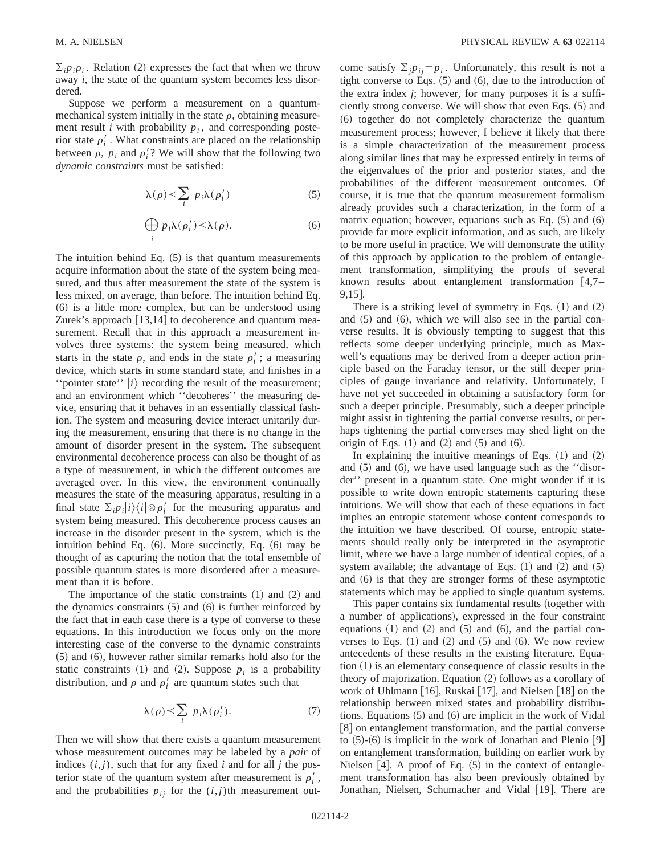$\sum_i p_i \rho_i$ . Relation (2) expresses the fact that when we throw away *i*, the state of the quantum system becomes less disordered.

Suppose we perform a measurement on a quantummechanical system initially in the state  $\rho$ , obtaining measurement result *i* with probability  $p_i$ , and corresponding posterior state  $\rho_i'$ . What constraints are placed on the relationship between  $\rho$ ,  $p_i$  and  $\rho'_i$ ? We will show that the following two *dynamic constraints* must be satisfied:

$$
\lambda(\rho) < \sum_{i} p_i \lambda(\rho'_i) \tag{5}
$$

$$
\bigoplus_{i} p_{i} \lambda(\rho'_{i}) < \lambda(\rho). \tag{6}
$$

The intuition behind Eq.  $(5)$  is that quantum measurements acquire information about the state of the system being measured, and thus after measurement the state of the system is less mixed, on average, than before. The intuition behind Eq.  $(6)$  is a little more complex, but can be understood using Zurek's approach  $[13,14]$  to decoherence and quantum measurement. Recall that in this approach a measurement involves three systems: the system being measured, which starts in the state  $\rho$ , and ends in the state  $\rho'_i$ ; a measuring device, which starts in some standard state, and finishes in a "pointer state"  $|i\rangle$  recording the result of the measurement; and an environment which ''decoheres'' the measuring device, ensuring that it behaves in an essentially classical fashion. The system and measuring device interact unitarily during the measurement, ensuring that there is no change in the amount of disorder present in the system. The subsequent environmental decoherence process can also be thought of as a type of measurement, in which the different outcomes are averaged over. In this view, the environment continually measures the state of the measuring apparatus, resulting in a final state  $\sum_i p_i |i\rangle\langle i| \otimes \rho'_i$  for the measuring apparatus and system being measured. This decoherence process causes an increase in the disorder present in the system, which is the intuition behind Eq.  $(6)$ . More succinctly, Eq.  $(6)$  may be thought of as capturing the notion that the total ensemble of possible quantum states is more disordered after a measurement than it is before.

The importance of the static constraints  $(1)$  and  $(2)$  and the dynamics constraints  $(5)$  and  $(6)$  is further reinforced by the fact that in each case there is a type of converse to these equations. In this introduction we focus only on the more interesting case of the converse to the dynamic constraints  $(5)$  and  $(6)$ , however rather similar remarks hold also for the static constraints  $(1)$  and  $(2)$ . Suppose  $p_i$  is a probability distribution, and  $\rho$  and  $\rho'_i$  are quantum states such that

$$
\lambda(\rho) < \sum_{i} p_i \lambda(\rho'_i). \tag{7}
$$

Then we will show that there exists a quantum measurement whose measurement outcomes may be labeled by a *pair* of indices  $(i, j)$ , such that for any fixed *i* and for all *j* the posterior state of the quantum system after measurement is  $\rho_i'$ , and the probabilities  $p_{ij}$  for the  $(i, j)$ th measurement outcome satisfy  $\sum_{i} p_{i} = p_{i}$ . Unfortunately, this result is not a tight converse to Eqs.  $(5)$  and  $(6)$ , due to the introduction of the extra index *j*; however, for many purposes it is a sufficiently strong converse. We will show that even Eqs. (5) and ~6! together do not completely characterize the quantum measurement process; however, I believe it likely that there is a simple characterization of the measurement process along similar lines that may be expressed entirely in terms of the eigenvalues of the prior and posterior states, and the probabilities of the different measurement outcomes. Of course, it is true that the quantum measurement formalism already provides such a characterization, in the form of a matrix equation; however, equations such as Eq.  $(5)$  and  $(6)$ provide far more explicit information, and as such, are likely to be more useful in practice. We will demonstrate the utility of this approach by application to the problem of entanglement transformation, simplifying the proofs of several known results about entanglement transformation  $|4,7 9,15$ .

There is a striking level of symmetry in Eqs.  $(1)$  and  $(2)$ and  $(5)$  and  $(6)$ , which we will also see in the partial converse results. It is obviously tempting to suggest that this reflects some deeper underlying principle, much as Maxwell's equations may be derived from a deeper action principle based on the Faraday tensor, or the still deeper principles of gauge invariance and relativity. Unfortunately, I have not yet succeeded in obtaining a satisfactory form for such a deeper principle. Presumably, such a deeper principle might assist in tightening the partial converse results, or perhaps tightening the partial converses may shed light on the origin of Eqs.  $(1)$  and  $(2)$  and  $(5)$  and  $(6)$ .

In explaining the intuitive meanings of Eqs.  $(1)$  and  $(2)$ and  $(5)$  and  $(6)$ , we have used language such as the "disorder'' present in a quantum state. One might wonder if it is possible to write down entropic statements capturing these intuitions. We will show that each of these equations in fact implies an entropic statement whose content corresponds to the intuition we have described. Of course, entropic statements should really only be interpreted in the asymptotic limit, where we have a large number of identical copies, of a system available; the advantage of Eqs.  $(1)$  and  $(2)$  and  $(5)$ and  $(6)$  is that they are stronger forms of these asymptotic statements which may be applied to single quantum systems.

This paper contains six fundamental results (together with a number of applications), expressed in the four constraint equations  $(1)$  and  $(2)$  and  $(5)$  and  $(6)$ , and the partial converses to Eqs.  $(1)$  and  $(2)$  and  $(5)$  and  $(6)$ . We now review antecedents of these results in the existing literature. Equa- $\tau$  tion  $(1)$  is an elementary consequence of classic results in the theory of majorization. Equation  $(2)$  follows as a corollary of work of Uhlmann [16], Ruskai [17], and Nielsen [18] on the relationship between mixed states and probability distributions. Equations  $(5)$  and  $(6)$  are implicit in the work of Vidal [8] on entanglement transformation, and the partial converse to  $(5)-(6)$  is implicit in the work of Jonathan and Plenio [9] on entanglement transformation, building on earlier work by Nielsen  $[4]$ . A proof of Eq.  $(5)$  in the context of entanglement transformation has also been previously obtained by Jonathan, Nielsen, Schumacher and Vidal [19]. There are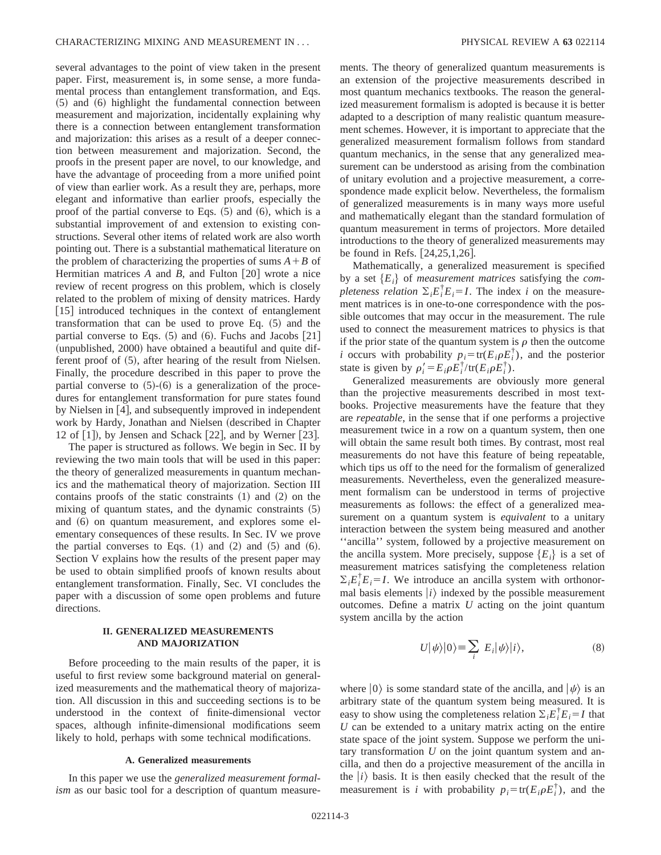several advantages to the point of view taken in the present paper. First, measurement is, in some sense, a more fundamental process than entanglement transformation, and Eqs.  $(5)$  and  $(6)$  highlight the fundamental connection between measurement and majorization, incidentally explaining why there is a connection between entanglement transformation and majorization: this arises as a result of a deeper connection between measurement and majorization. Second, the proofs in the present paper are novel, to our knowledge, and have the advantage of proceeding from a more unified point of view than earlier work. As a result they are, perhaps, more elegant and informative than earlier proofs, especially the proof of the partial converse to Eqs.  $(5)$  and  $(6)$ , which is a substantial improvement of and extension to existing constructions. Several other items of related work are also worth pointing out. There is a substantial mathematical literature on the problem of characterizing the properties of sums  $A + B$  of Hermitian matrices  $A$  and  $B$ , and Fulton  $\lceil 20 \rceil$  wrote a nice review of recent progress on this problem, which is closely related to the problem of mixing of density matrices. Hardy  $[15]$  introduced techniques in the context of entanglement transformation that can be used to prove Eq.  $(5)$  and the partial converse to Eqs.  $(5)$  and  $(6)$ . Fuchs and Jacobs  $[21]$ (unpublished, 2000) have obtained a beautiful and quite different proof of  $(5)$ , after hearing of the result from Nielsen. Finally, the procedure described in this paper to prove the partial converse to  $(5)-(6)$  is a generalization of the procedures for entanglement transformation for pure states found by Nielsen in  $[4]$ , and subsequently improved in independent work by Hardy, Jonathan and Nielsen (described in Chapter 12 of  $|1|$ , by Jensen and Schack  $|22|$ , and by Werner  $|23|$ .

The paper is structured as follows. We begin in Sec. II by reviewing the two main tools that will be used in this paper: the theory of generalized measurements in quantum mechanics and the mathematical theory of majorization. Section III contains proofs of the static constraints  $(1)$  and  $(2)$  on the mixing of quantum states, and the dynamic constraints  $(5)$ and  $(6)$  on quantum measurement, and explores some elementary consequences of these results. In Sec. IV we prove the partial converses to Eqs.  $(1)$  and  $(2)$  and  $(5)$  and  $(6)$ . Section V explains how the results of the present paper may be used to obtain simplified proofs of known results about entanglement transformation. Finally, Sec. VI concludes the paper with a discussion of some open problems and future directions.

## **II. GENERALIZED MEASUREMENTS AND MAJORIZATION**

Before proceeding to the main results of the paper, it is useful to first review some background material on generalized measurements and the mathematical theory of majorization. All discussion in this and succeeding sections is to be understood in the context of finite-dimensional vector spaces, although infinite-dimensional modifications seem likely to hold, perhaps with some technical modifications.

### **A. Generalized measurements**

In this paper we use the *generalized measurement formalism* as our basic tool for a description of quantum measurements. The theory of generalized quantum measurements is an extension of the projective measurements described in most quantum mechanics textbooks. The reason the generalized measurement formalism is adopted is because it is better adapted to a description of many realistic quantum measurement schemes. However, it is important to appreciate that the generalized measurement formalism follows from standard quantum mechanics, in the sense that any generalized measurement can be understood as arising from the combination of unitary evolution and a projective measurement, a correspondence made explicit below. Nevertheless, the formalism of generalized measurements is in many ways more useful and mathematically elegant than the standard formulation of quantum measurement in terms of projectors. More detailed introductions to the theory of generalized measurements may be found in Refs.  $[24,25,1,26]$ .

Mathematically, a generalized measurement is specified by a set  ${E_i}$  of *measurement matrices* satisfying the *completeness relation*  $\Sigma_i E_i^{\dagger} E_i = I$ . The index *i* on the measurement matrices is in one-to-one correspondence with the possible outcomes that may occur in the measurement. The rule used to connect the measurement matrices to physics is that if the prior state of the quantum system is  $\rho$  then the outcome *i* occurs with probability  $p_i = \text{tr}(E_i \rho E_i^{\dagger})$ , and the posterior state is given by  $\rho_i' = E_i \rho E_i^{\dagger} / tr(E_i \rho E_i^{\dagger})$ .

Generalized measurements are obviously more general than the projective measurements described in most textbooks. Projective measurements have the feature that they are *repeatable*, in the sense that if one performs a projective measurement twice in a row on a quantum system, then one will obtain the same result both times. By contrast, most real measurements do not have this feature of being repeatable, which tips us off to the need for the formalism of generalized measurements. Nevertheless, even the generalized measurement formalism can be understood in terms of projective measurements as follows: the effect of a generalized measurement on a quantum system is *equivalent* to a unitary interaction between the system being measured and another ''ancilla'' system, followed by a projective measurement on the ancilla system. More precisely, suppose  ${E_i}$  is a set of measurement matrices satisfying the completeness relation  $\sum_i E_i^{\dagger} E_i = I$ . We introduce an ancilla system with orthonormal basis elements  $|i\rangle$  indexed by the possible measurement outcomes. Define a matrix *U* acting on the joint quantum system ancilla by the action

$$
U|\psi\rangle|0\rangle \equiv \sum_{i} E_{i}|\psi\rangle|i\rangle, \tag{8}
$$

where  $|0\rangle$  is some standard state of the ancilla, and  $|\psi\rangle$  is an arbitrary state of the quantum system being measured. It is easy to show using the completeness relation  $\Sigma_i E_i^{\dagger} E_i = I$  that *U* can be extended to a unitary matrix acting on the entire state space of the joint system. Suppose we perform the unitary transformation *U* on the joint quantum system and ancilla, and then do a projective measurement of the ancilla in the  $|i\rangle$  basis. It is then easily checked that the result of the measurement is *i* with probability  $p_i = \text{tr}(E_i \rho E_i^{\dagger})$ , and the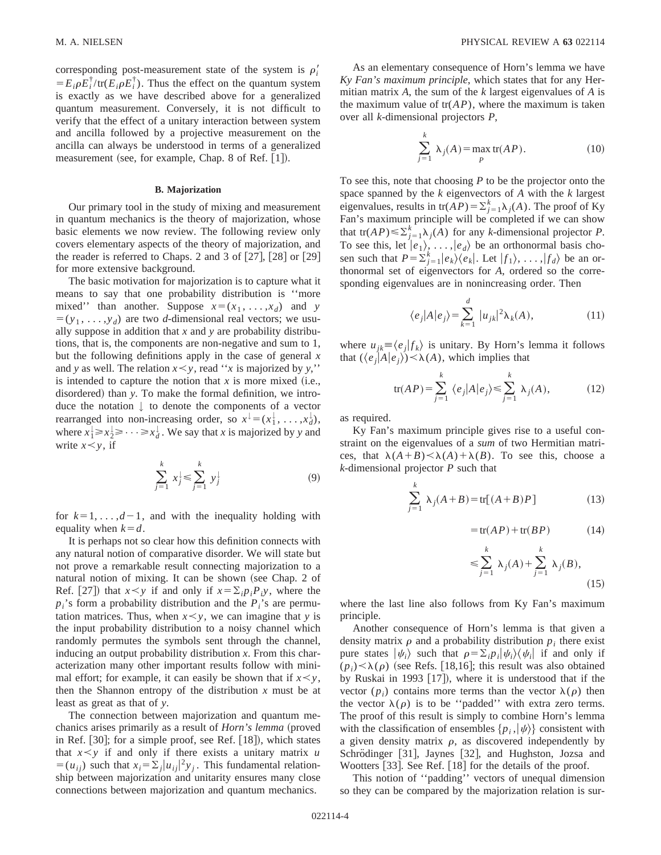corresponding post-measurement state of the system is  $\rho_i'$  $=E_i \rho E_i^{\dagger}/\text{tr}(E_i \rho E_i^{\dagger})$ . Thus the effect on the quantum system is exactly as we have described above for a generalized quantum measurement. Conversely, it is not difficult to verify that the effect of a unitary interaction between system and ancilla followed by a projective measurement on the ancilla can always be understood in terms of a generalized measurement (see, for example, Chap. 8 of Ref.  $[1]$ ).

#### **B. Majorization**

Our primary tool in the study of mixing and measurement in quantum mechanics is the theory of majorization, whose basic elements we now review. The following review only covers elementary aspects of the theory of majorization, and the reader is referred to Chaps. 2 and 3 of  $[27]$ ,  $[28]$  or  $[29]$ for more extensive background.

The basic motivation for majorization is to capture what it means to say that one probability distribution is ''more mixed'' than another. Suppose  $x = (x_1, \ldots, x_d)$  and *y*  $=(y_1, \ldots, y_d)$  are two *d*-dimensional real vectors; we usually suppose in addition that *x* and *y* are probability distributions, that is, the components are non-negative and sum to 1, but the following definitions apply in the case of general *x* and *y* as well. The relation  $x \leq y$ , read "*x* is majorized by *y*," is intended to capture the notion that  $x$  is more mixed (i.e., disordered) than *y*. To make the formal definition, we introduce the notation  $\downarrow$  to denote the components of a vector rearranged into non-increasing order, so  $x^{\downarrow} = (x_1^{\downarrow}, \ldots, x_d^{\downarrow}),$ where  $x_1^1 \ge x_2^1 \ge \cdots \ge x_d^1$ . We say that *x* is majorized by *y* and write  $x < y$ , if

$$
\sum_{j=1}^{k} x_{j}^{\downarrow} \leq \sum_{j=1}^{k} y_{j}^{\downarrow}
$$
 (9)

for  $k=1, \ldots, d-1$ , and with the inequality holding with equality when  $k=d$ .

It is perhaps not so clear how this definition connects with any natural notion of comparative disorder. We will state but not prove a remarkable result connecting majorization to a natural notion of mixing. It can be shown (see Chap. 2 of Ref. [27]) that  $x \leq y$  if and only if  $x = \sum_i p_i P_i y$ , where the  $p_i$ 's form a probability distribution and the  $P_i$ 's are permutation matrices. Thus, when  $x \le y$ , we can imagine that *y* is the input probability distribution to a noisy channel which randomly permutes the symbols sent through the channel, inducing an output probability distribution *x*. From this characterization many other important results follow with minimal effort; for example, it can easily be shown that if  $x \le y$ , then the Shannon entropy of the distribution  $x$  must be at least as great as that of *y*.

The connection between majorization and quantum mechanics arises primarily as a result of *Horn's lemma* (proved in Ref.  $[30]$ ; for a simple proof, see Ref.  $[18]$ ), which states that  $x \leq y$  if and only if there exists a unitary matrix *u*  $=(u_{ij})$  such that  $x_i = \sum_j |u_{ij}|^2 y_j$ . This fundamental relationship between majorization and unitarity ensures many close connections between majorization and quantum mechanics.

As an elementary consequence of Horn's lemma we have *Ky Fan's maximum principle*, which states that for any Hermitian matrix *A*, the sum of the *k* largest eigenvalues of *A* is the maximum value of  $tr(AP)$ , where the maximum is taken over all *k*-dimensional projectors *P*,

$$
\sum_{j=1}^{k} \lambda_j(A) = \max_{P} \text{tr}(AP). \tag{10}
$$

To see this, note that choosing *P* to be the projector onto the space spanned by the *k* eigenvectors of *A* with the *k* largest eigenvalues, results in  $tr(AP) = \sum_{j=1}^{k} \lambda_j(A)$ . The proof of Ky Fan's maximum principle will be completed if we can show that  $tr(AP) \le \sum_{j=1}^{k} \lambda_j(A)$  for any *k*-dimensional projector *P*. To see this, let  $|e_1\rangle, \ldots, |e_d\rangle$  be an orthonormal basis chosen such that  $P = \sum_{j=1}^{k} |e_k\rangle\langle e_k|$ . Let  $|f_1\rangle, \ldots, |f_d\rangle$  be an orthonormal set of eigenvectors for *A*, ordered so the corresponding eigenvalues are in nonincreasing order. Then

$$
\langle e_j | A | e_j \rangle = \sum_{k=1}^d |u_{jk}|^2 \lambda_k(A), \qquad (11)
$$

where  $u_{ik} \equiv \langle e_i | f_k \rangle$  is unitary. By Horn's lemma it follows that  $(\langle e_i|A|e_i\rangle)$  <  $\lambda(A)$ , which implies that

$$
\text{tr}(AP) = \sum_{j=1}^{k} \langle e_j | A | e_j \rangle \leq \sum_{j=1}^{k} \lambda_j(A), \quad (12)
$$

as required.

Ky Fan's maximum principle gives rise to a useful constraint on the eigenvalues of a *sum* of two Hermitian matrices, that  $\lambda(A+B) < \lambda(A) + \lambda(B)$ . To see this, choose a *k*-dimensional projector *P* such that

$$
\sum_{j=1}^{k} \lambda_j(A+B) = \text{tr}[(A+B)P] \tag{13}
$$

$$
= tr(A P) + tr(B P) \tag{14}
$$

$$
\leqslant \sum_{j=1}^{k} \lambda_j(A) + \sum_{j=1}^{k} \lambda_j(B),\tag{15}
$$

where the last line also follows from Ky Fan's maximum principle.

Another consequence of Horn's lemma is that given a density matrix  $\rho$  and a probability distribution  $p_i$  there exist pure states  $|\psi_i\rangle$  such that  $\rho = \sum_i p_i |\psi_i\rangle\langle\psi_i|$  if and only if  $(p_i) < \lambda(p)$  (see Refs. [18,16]; this result was also obtained by Ruskai in 1993  $[17]$ , where it is understood that if the vector  $(p_i)$  contains more terms than the vector  $\lambda(\rho)$  then the vector  $\lambda(\rho)$  is to be "padded" with extra zero terms. The proof of this result is simply to combine Horn's lemma with the classification of ensembles  $\{p_i, |\psi\rangle\}$  consistent with a given density matrix  $\rho$ , as discovered independently by Schrödinger [31], Jaynes [32], and Hughston, Jozsa and Wootters  $[33]$ . See Ref.  $[18]$  for the details of the proof.

This notion of ''padding'' vectors of unequal dimension so they can be compared by the majorization relation is sur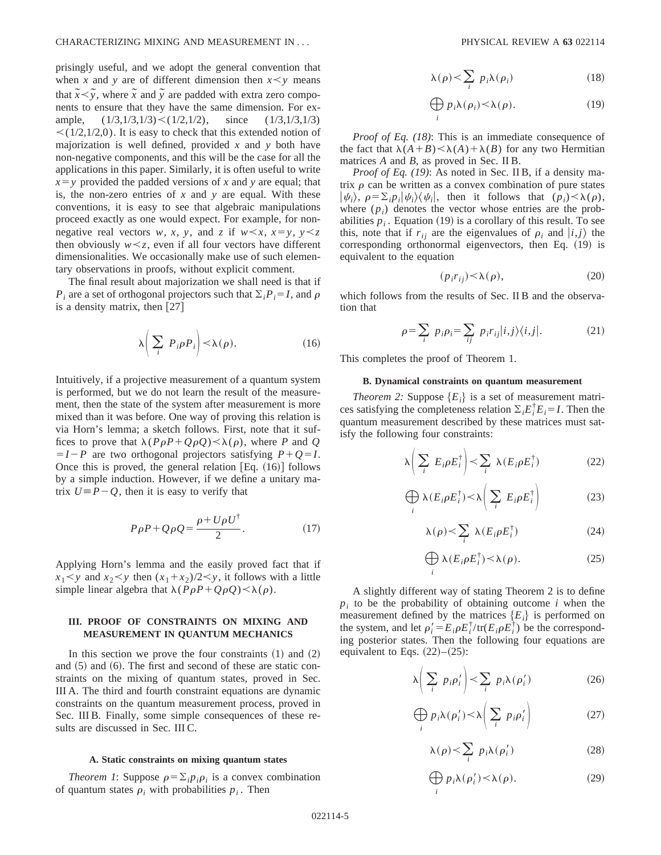prisingly useful, and we adopt the general convention that when *x* and *y* are of different dimension then  $x \leq y$  means that  $\tilde{x} < \tilde{y}$ , where  $\tilde{x}$  and  $\tilde{y}$  are padded with extra zero components to ensure that they have the same dimension. For example,  $(1/3,1/3,1/3)$  <  $(1/2,1/2)$ , since  $(1/3,1/3,1/3)$  $\leq$  (1/2,1/2,0). It is easy to check that this extended notion of majorization is well defined, provided *x* and *y* both have non-negative components, and this will be the case for all the applications in this paper. Similarly, it is often useful to write  $x = y$  provided the padded versions of *x* and *y* are equal; that is, the non-zero entries of *x* and *y* are equal. With these conventions, it is easy to see that algebraic manipulations proceed exactly as one would expect. For example, for nonnegative real vectors *w*, *x*, *y*, and *z* if  $w \le x$ ,  $x = y$ ,  $y \le z$ then obviously  $w \lt z$ , even if all four vectors have different dimensionalities. We occasionally make use of such elementary observations in proofs, without explicit comment.

The final result about majorization we shall need is that if  $P_i$  are a set of orthogonal projectors such that  $\sum_i P_i = I$ , and  $\rho$ is a density matrix, then  $[27]$ 

$$
\lambda \left( \sum_{i} P_{i} \rho P_{i} \right) < \lambda(\rho). \tag{16}
$$

Intuitively, if a projective measurement of a quantum system is performed, but we do not learn the result of the measurement, then the state of the system after measurement is more mixed than it was before. One way of proving this relation is via Horn's lemma; a sketch follows. First, note that it suffices to prove that  $\lambda(P\rho P + Q\rho Q) \lt \lambda(\rho)$ , where *P* and *Q*  $= I - P$  are two orthogonal projectors satisfying  $P + Q = I$ . Once this is proved, the general relation  $[Eq. (16)]$  follows by a simple induction. However, if we define a unitary matrix  $U = P - Q$ , then it is easy to verify that

$$
P\rho P + Q\rho Q = \frac{\rho + U\rho U^{\dagger}}{2}.
$$
 (17)

Applying Horn's lemma and the easily proved fact that if  $x_1 \leq y$  and  $x_2 \leq y$  then  $(x_1 + x_2)/2 \leq y$ , it follows with a little simple linear algebra that  $\lambda(P\rho P + Q\rho Q) < \lambda(\rho)$ .

# **III. PROOF OF CONSTRAINTS ON MIXING AND MEASUREMENT IN QUANTUM MECHANICS**

In this section we prove the four constraints  $(1)$  and  $(2)$ and  $(5)$  and  $(6)$ . The first and second of these are static constraints on the mixing of quantum states, proved in Sec. III A. The third and fourth constraint equations are dynamic constraints on the quantum measurement process, proved in Sec. III B. Finally, some simple consequences of these results are discussed in Sec. III C.

### **A. Static constraints on mixing quantum states**

*Theorem 1*: Suppose  $\rho = \sum_{i} p_i \rho_i$  is a convex combination of quantum states  $\rho_i$  with probabilities  $p_i$ . Then

$$
\lambda(\rho) < \sum_{i} p_i \lambda(\rho_i) \tag{18}
$$

$$
\bigoplus_{i} p_i \lambda(\rho_i) \le \lambda(\rho). \tag{19}
$$

*Proof of Eq. (18)*: This is an immediate consequence of the fact that  $\lambda(A+B) < \lambda(A) + \lambda(B)$  for any two Hermitian matrices *A* and *B*, as proved in Sec. II B.

*Proof of Eq. (19)*: As noted in Sec. II B, if a density matrix  $\rho$  can be written as a convex combination of pure states  $|\psi_i\rangle, \ \rho = \sum_i p_i |\psi_i\rangle\langle\psi_i|, \ \text{then it follows that} \ (\rho_i) \langle \lambda(\rho), \psi_i \rangle$ where  $(p_i)$  denotes the vector whose entries are the probabilities  $p_i$ . Equation (19) is a corollary of this result. To see this, note that if  $r_{ij}$  are the eigenvalues of  $\rho_i$  and  $|i,j\rangle$  the corresponding orthonormal eigenvectors, then Eq.  $(19)$  is equivalent to the equation

$$
(p_i r_{ij}) \le \lambda(\rho), \tag{20}
$$

which follows from the results of Sec. II B and the observation that

$$
\rho = \sum_{i} p_i \rho_i = \sum_{ij} p_i r_{ij} |i,j\rangle\langle i,j|.
$$
 (21)

This completes the proof of Theorem 1.

### **B. Dynamical constraints on quantum measurement**

*Theorem 2:* Suppose  ${E_i}$  is a set of measurement matrices satisfying the completeness relation  $\Sigma_i E_i^{\dagger} E_i = I$ . Then the quantum measurement described by these matrices must satisfy the following four constraints:

$$
\lambda \left( \sum_{i} E_{i} \rho E_{i}^{\dagger} \right) < \sum_{i} \lambda (E_{i} \rho E_{i}^{\dagger}) \tag{22}
$$

$$
\bigoplus_{i} \lambda(E_i \rho E_i^{\dagger}) < \lambda \bigg( \sum_{i} E_i \rho E_i^{\dagger} \bigg) \tag{23}
$$

$$
\lambda(\rho) < \sum_{i} \lambda(E_i \rho E_i^{\dagger})
$$
 (24)

$$
\bigoplus_{i} \lambda(E_i \rho E_i^{\dagger}) \langle \lambda(\rho). \tag{25}
$$

A slightly different way of stating Theorem 2 is to define  $p_i$  to be the probability of obtaining outcome *i* when the measurement defined by the matrices  ${E_i}$  is performed on the system, and let  $\rho'_i = E_i \rho E_i^{\dagger}/tr(E_i \rho E_i^{\dagger})$  be the corresponding posterior states. Then the following four equations are equivalent to Eqs.  $(22)$ – $(25)$ :

$$
\lambda \left( \sum_{i} p_{i} \rho_{i}' \right) < \sum_{i} p_{i} \lambda (\rho_{i}') \tag{26}
$$

$$
\bigoplus_{i} p_i \lambda(\rho'_i) < \lambda \bigg( \sum_{i} p_i \rho'_i \bigg) \tag{27}
$$

$$
\lambda(\rho) < \sum_{i} p_i \lambda(\rho'_i) \tag{28}
$$

$$
\bigoplus_{i} p_i \lambda(\rho'_i) < \lambda(\rho). \tag{29}
$$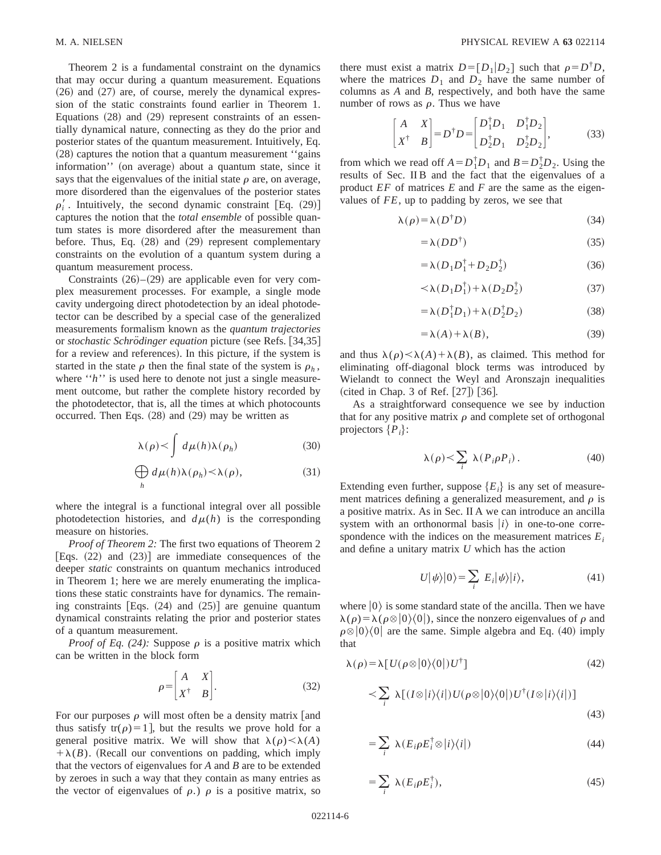Theorem 2 is a fundamental constraint on the dynamics that may occur during a quantum measurement. Equations  $(26)$  and  $(27)$  are, of course, merely the dynamical expression of the static constraints found earlier in Theorem 1. Equations  $(28)$  and  $(29)$  represent constraints of an essentially dynamical nature, connecting as they do the prior and posterior states of the quantum measurement. Intuitively, Eq.  $(28)$  captures the notion that a quantum measurement "gains" information'' (on average) about a quantum state, since it says that the eigenvalues of the initial state  $\rho$  are, on average, more disordered than the eigenvalues of the posterior states  $\rho'_i$ . Intuitively, the second dynamic constraint [Eq.  $(29)$ ] captures the notion that the *total ensemble* of possible quantum states is more disordered after the measurement than before. Thus, Eq.  $(28)$  and  $(29)$  represent complementary constraints on the evolution of a quantum system during a quantum measurement process.

Constraints  $(26)–(29)$  are applicable even for very complex measurement processes. For example, a single mode cavity undergoing direct photodetection by an ideal photodetector can be described by a special case of the generalized measurements formalism known as the *quantum trajectories* or *stochastic Schrödinger equation* picture (see Refs. [34,35] for a review and references). In this picture, if the system is started in the state  $\rho$  then the final state of the system is  $\rho_h$ , where "*h*" is used here to denote not just a single measurement outcome, but rather the complete history recorded by the photodetector, that is, all the times at which photocounts occurred. Then Eqs.  $(28)$  and  $(29)$  may be written as

$$
\lambda(\rho) < \int d\mu(h)\lambda(\rho_h) \tag{30}
$$

$$
\bigoplus_{h} d\mu(h)\lambda(\rho_h) < \lambda(\rho), \tag{31}
$$

where the integral is a functional integral over all possible photodetection histories, and  $d\mu(h)$  is the corresponding measure on histories.

*Proof of Theorem 2:* The first two equations of Theorem 2 [Eqs.  $(22)$  and  $(23)$ ] are immediate consequences of the deeper *static* constraints on quantum mechanics introduced in Theorem 1; here we are merely enumerating the implications these static constraints have for dynamics. The remaining constraints [Eqs.  $(24)$  and  $(25)$ ] are genuine quantum dynamical constraints relating the prior and posterior states of a quantum measurement.

*Proof of Eq. (24):* Suppose  $\rho$  is a positive matrix which can be written in the block form

$$
\rho = \begin{bmatrix} A & X \\ X^{\dagger} & B \end{bmatrix} . \tag{32}
$$

For our purposes  $\rho$  will most often be a density matrix [and thus satisfy tr( $\rho$ )=1], but the results we prove hold for a general positive matrix. We will show that  $\lambda(\rho) < \lambda(A)$  $+\lambda(B)$ . (Recall our conventions on padding, which imply that the vectors of eigenvalues for *A* and *B* are to be extended by zeroes in such a way that they contain as many entries as the vector of eigenvalues of  $\rho$ .)  $\rho$  is a positive matrix, so there must exist a matrix  $D = [D_1|D_2]$  such that  $\rho = D^T D$ , where the matrices  $D_1$  and  $D_2$  have the same number of columns as *A* and *B*, respectively, and both have the same number of rows as  $\rho$ . Thus we have

$$
\begin{bmatrix} A & X \ X^{\dagger} & B \end{bmatrix} = D^{\dagger} D = \begin{bmatrix} D_1^{\dagger} D_1 & D_1^{\dagger} D_2 \ D_2^{\dagger} D_1 & D_2^{\dagger} D_2 \end{bmatrix},
$$
(33)

from which we read of  $A = D_1^{\dagger} D_1$  and  $B = D_2^{\dagger} D_2$ . Using the results of Sec. II B and the fact that the eigenvalues of a product *EF* of matrices *E* and *F* are the same as the eigenvalues of *FE*, up to padding by zeros, we see that

$$
\lambda(\rho) = \lambda(D^{\dagger}D) \tag{34}
$$

$$
=\lambda(DD^{\dagger})\tag{35}
$$

$$
=\lambda(D_1D_1^{\dagger}+D_2D_2^{\dagger})
$$
\n(36)

$$
\langle \lambda (D_1 D_1^{\dagger}) + \lambda (D_2 D_2^{\dagger}) \tag{37}
$$

$$
= \lambda (D_1^{\dagger} D_1) + \lambda (D_2^{\dagger} D_2)
$$
 (38)

$$
=\lambda(A)+\lambda(B),\tag{39}
$$

and thus  $\lambda(\rho) < \lambda(A) + \lambda(B)$ , as claimed. This method for eliminating off-diagonal block terms was introduced by Wielandt to connect the Weyl and Aronszajn inequalities  $({\rm cited~in~Chap.~3~of~Ref.~[27]})$   $[36]$ .

As a straightforward consequence we see by induction that for any positive matrix  $\rho$  and complete set of orthogonal projectors  $\{P_i\}$ :

$$
\lambda(\rho) < \sum_{i} \lambda(P_i \rho P_i). \tag{40}
$$

Extending even further, suppose  ${E_i}$  is any set of measurement matrices defining a generalized measurement, and  $\rho$  is a positive matrix. As in Sec. II A we can introduce an ancilla system with an orthonormal basis  $|i\rangle$  in one-to-one correspondence with the indices on the measurement matrices  $E_i$ and define a unitary matrix *U* which has the action

$$
U|\psi\rangle|0\rangle = \sum_{i} E_{i}|\psi\rangle|i\rangle, \qquad (41)
$$

where  $|0\rangle$  is some standard state of the ancilla. Then we have  $\lambda(\rho) = \lambda(\rho \otimes |0\rangle\langle 0|)$ , since the nonzero eigenvalues of  $\rho$  and  $\rho \otimes |0\rangle\langle 0|$  are the same. Simple algebra and Eq. (40) imply that

$$
\lambda(\rho) = \lambda [U(\rho \otimes |0\rangle\langle 0|)U^{\dagger}]
$$
\n(42)

$$
\langle \sum_{i} \lambda [(I \otimes |i\rangle\langle i|) U(\rho \otimes |0\rangle\langle 0|) U^{\dagger} (I \otimes |i\rangle\langle i|)] \tag{43}
$$

$$
=\sum_{i}\ \lambda(E_{i}\rho E_{i}^{\dagger}\otimes|i\rangle\langle i|)\tag{44}
$$

$$
=\sum_{i}\ \lambda(E_{i}\rho E_{i}^{\dagger}),\tag{45}
$$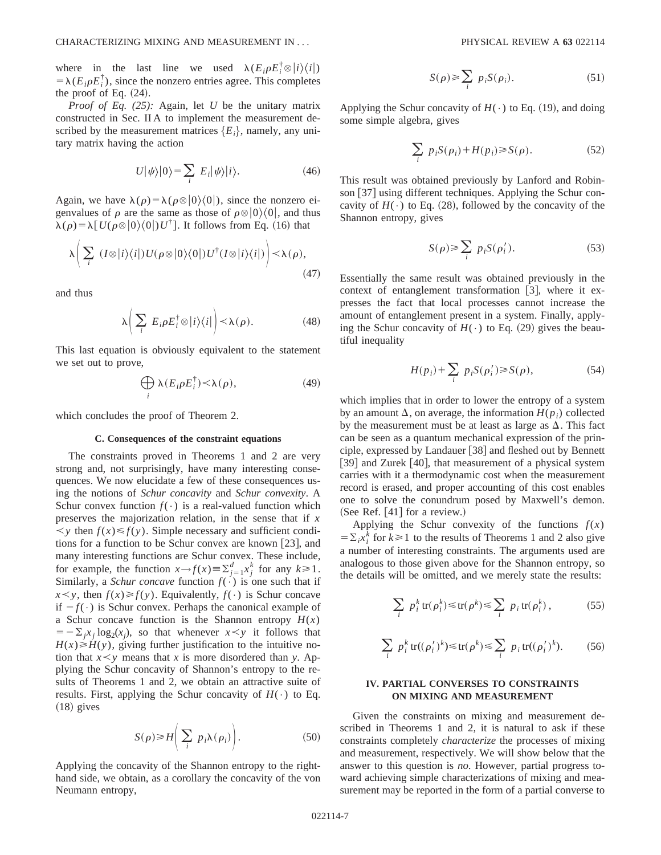where in the last line we used  $\lambda(E_i \rho E_i^{\dagger} \otimes |i\rangle\langle i|)$  $= \lambda (E_i \rho E_i^{\dagger})$ , since the nonzero entries agree. This completes the proof of Eq.  $(24)$ .

*Proof of Eq. (25):* Again, let *U* be the unitary matrix constructed in Sec. II A to implement the measurement described by the measurement matrices  ${E_i}$ , namely, any unitary matrix having the action

$$
U|\psi\rangle|0\rangle = \sum_{i} E_{i}|\psi\rangle|i\rangle.
$$
 (46)

Again, we have  $\lambda(\rho)=\lambda(\rho\otimes|0\rangle\langle 0|)$ , since the nonzero eigenvalues of  $\rho$  are the same as those of  $\rho \otimes |0\rangle\langle 0|$ , and thus  $\lambda(\rho) = \lambda [U(\rho \otimes |0\rangle\langle 0|)U^{\dagger}]$ . It follows from Eq. (16) that

$$
\lambda \bigg(\sum_{i} (I \otimes |i\rangle\langle i|) U(\rho \otimes |0\rangle\langle 0|) U^{\dagger} (I \otimes |i\rangle\langle i|) \bigg) \langle \lambda(\rho), \tag{47}
$$

and thus

$$
\lambda \bigg( \sum_{i} E_{i} \rho E_{i}^{\dagger} \otimes |i\rangle\langle i| \bigg) < \lambda(\rho). \tag{48}
$$

This last equation is obviously equivalent to the statement we set out to prove,

$$
\bigoplus_{i} \lambda(E_i \rho E_i^{\dagger}) < \lambda(\rho), \tag{49}
$$

which concludes the proof of Theorem 2.

### **C. Consequences of the constraint equations**

The constraints proved in Theorems 1 and 2 are very strong and, not surprisingly, have many interesting consequences. We now elucidate a few of these consequences using the notions of *Schur concavity* and *Schur convexity*. A Schur convex function  $f(\cdot)$  is a real-valued function which preserves the majorization relation, in the sense that if *x*  $\langle y \rangle \times f(y)$ . Simple necessary and sufficient conditions for a function to be Schur convex are known  $\left[23\right]$ , and many interesting functions are Schur convex. These include, for example, the function  $x \rightarrow f(x) \equiv \sum_{j=1}^{d} x_j^k$  for any  $k \ge 1$ . Similarly, a *Schur concave* function  $f(\cdot)$  is one such that if  $x \leq y$ , then  $f(x) \geq f(y)$ . Equivalently,  $f(\cdot)$  is Schur concave if  $-f(\cdot)$  is Schur convex. Perhaps the canonical example of a Schur concave function is the Shannon entropy  $H(x)$  $= -\sum_j x_j \log_2(x_j)$ , so that whenever  $x \leq y$  it follows that  $H(x) \geq H(y)$ , giving further justification to the intuitive notion that  $x \leq y$  means that *x* is more disordered than *y*. Applying the Schur concavity of Shannon's entropy to the results of Theorems 1 and 2, we obtain an attractive suite of results. First, applying the Schur concavity of  $H(\cdot)$  to Eq.  $(18)$  gives

$$
S(\rho) \ge H\bigg(\sum_i p_i \lambda(\rho_i)\bigg). \tag{50}
$$

Applying the concavity of the Shannon entropy to the righthand side, we obtain, as a corollary the concavity of the von Neumann entropy,

$$
S(\rho) \ge \sum_{i} p_i S(\rho_i). \tag{51}
$$

Applying the Schur concavity of  $H(\cdot)$  to Eq. (19), and doing some simple algebra, gives

$$
\sum_{i} p_i S(\rho_i) + H(p_i) \ge S(\rho). \tag{52}
$$

This result was obtained previously by Lanford and Robinson  $|37|$  using different techniques. Applying the Schur concavity of  $H(\cdot)$  to Eq. (28), followed by the concavity of the Shannon entropy, gives

$$
S(\rho) \ge \sum_{i} p_i S(\rho'_i). \tag{53}
$$

Essentially the same result was obtained previously in the context of entanglement transformation  $[3]$ , where it expresses the fact that local processes cannot increase the amount of entanglement present in a system. Finally, applying the Schur concavity of  $H(·)$  to Eq. (29) gives the beautiful inequality

$$
H(p_i) + \sum_i p_i S(\rho'_i) \ge S(\rho), \tag{54}
$$

which implies that in order to lower the entropy of a system by an amount  $\Delta$ , on average, the information  $H(p_i)$  collected by the measurement must be at least as large as  $\Delta$ . This fact can be seen as a quantum mechanical expression of the principle, expressed by Landauer  $\lceil 38 \rceil$  and fleshed out by Bennett [39] and Zurek [40], that measurement of a physical system carries with it a thermodynamic cost when the measurement record is erased, and proper accounting of this cost enables one to solve the conundrum posed by Maxwell's demon. (See Ref.  $[41]$  for a review.)

Applying the Schur convexity of the functions  $f(x)$  $=\sum_i x_i^k$  for  $k \ge 1$  to the results of Theorems 1 and 2 also give a number of interesting constraints. The arguments used are analogous to those given above for the Shannon entropy, so the details will be omitted, and we merely state the results:

$$
\sum_{i} p_i^k \operatorname{tr}(\rho_i^k) \le \operatorname{tr}(\rho^k) \le \sum_{i} p_i \operatorname{tr}(\rho_i^k), \tag{55}
$$

$$
\sum_{i} p_i^k \operatorname{tr}((\rho_i')^k) \le \operatorname{tr}(\rho^k) \le \sum_{i} p_i \operatorname{tr}((\rho_i')^k). \tag{56}
$$

# **IV. PARTIAL CONVERSES TO CONSTRAINTS ON MIXING AND MEASUREMENT**

Given the constraints on mixing and measurement described in Theorems 1 and 2, it is natural to ask if these constraints completely *characterize* the processes of mixing and measurement, respectively. We will show below that the answer to this question is *no*. However, partial progress toward achieving simple characterizations of mixing and measurement may be reported in the form of a partial converse to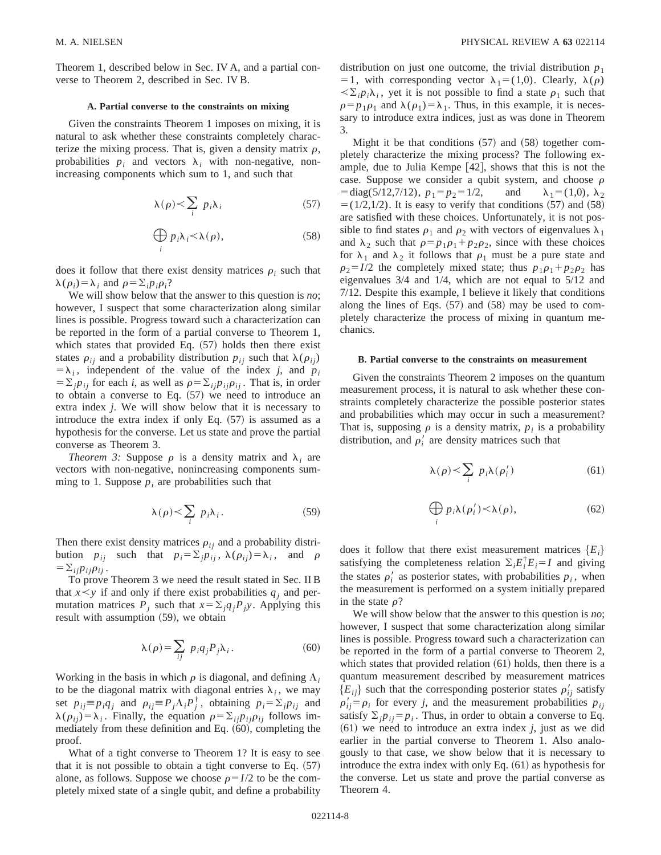Theorem 1, described below in Sec. IV A, and a partial converse to Theorem 2, described in Sec. IV B.

### **A. Partial converse to the constraints on mixing**

Given the constraints Theorem 1 imposes on mixing, it is natural to ask whether these constraints completely characterize the mixing process. That is, given a density matrix  $\rho$ , probabilities  $p_i$  and vectors  $\lambda_i$  with non-negative, nonincreasing components which sum to 1, and such that

$$
\lambda(\rho) < \sum_{i} p_i \lambda_i \tag{57}
$$

$$
\bigoplus_{i} p_{i} \lambda_{i} < \lambda(\rho), \tag{58}
$$

does it follow that there exist density matrices  $\rho_i$  such that  $\lambda(\rho_i) = \lambda_i$  and  $\rho = \sum_i p_i \rho_i$ ?

We will show below that the answer to this question is *no*; however, I suspect that some characterization along similar lines is possible. Progress toward such a characterization can be reported in the form of a partial converse to Theorem 1, which states that provided Eq.  $(57)$  holds then there exist states  $\rho_{ij}$  and a probability distribution  $p_{ij}$  such that  $\lambda(\rho_{ij})$  $=$  $\lambda_i$ , independent of the value of the index *j*, and *p<sub>i</sub>*  $= \sum_j p_{ij}$  for each *i*, as well as  $\rho = \sum_{ij} p_{ij} \rho_{ij}$ . That is, in order to obtain a converse to Eq.  $(57)$  we need to introduce an extra index *j*. We will show below that it is necessary to introduce the extra index if only Eq.  $(57)$  is assumed as a hypothesis for the converse. Let us state and prove the partial converse as Theorem 3.

*Theorem 3:* Suppose  $\rho$  is a density matrix and  $\lambda_i$  are vectors with non-negative, nonincreasing components summing to 1. Suppose  $p_i$  are probabilities such that

$$
\lambda(\rho) < \sum_{i} p_i \lambda_i. \tag{59}
$$

Then there exist density matrices  $\rho_{ij}$  and a probability distribution  $p_{ij}$  such that  $p_i = \sum_j p_{ij}$ ,  $\lambda(\rho_{ij}) = \lambda_i$ , and  $\rho$  $=\sum_{ij}p_{ij}\rho_{ij}$ .

To prove Theorem 3 we need the result stated in Sec. II B that  $x \leq y$  if and only if there exist probabilities  $q_i$  and permutation matrices  $P_i$  such that  $x = \sum_j q_j P_j y$ . Applying this result with assumption  $(59)$ , we obtain

$$
\lambda(\rho) = \sum_{ij} p_i q_j P_j \lambda_i. \tag{60}
$$

Working in the basis in which  $\rho$  is diagonal, and defining  $\Lambda_i$ to be the diagonal matrix with diagonal entries  $\lambda_i$ , we may set  $p_{ij} \equiv p_i q_j$  and  $p_{ij} \equiv P_j \Lambda_i P_j^{\dagger}$ , obtaining  $p_i = \Sigma_j p_{ij}$  and  $\lambda(\rho_{ij}) = \lambda_i$ . Finally, the equation  $\rho = \sum_{i j} p_{i j} \rho_{i j}$  follows immediately from these definition and Eq.  $(60)$ , completing the proof.

What of a tight converse to Theorem 1? It is easy to see that it is not possible to obtain a tight converse to Eq.  $(57)$ alone, as follows. Suppose we choose  $\rho = I/2$  to be the completely mixed state of a single qubit, and define a probability distribution on just one outcome, the trivial distribution  $p_1$ = 1, with corresponding vector  $\lambda_1 = (1,0)$ . Clearly,  $\lambda(\rho)$  $\langle \Sigma_i p_i \lambda_i \rangle$ , yet it is not possible to find a state  $\rho_1$  such that  $\rho = p_1 \rho_1$  and  $\lambda(\rho_1) = \lambda_1$ . Thus, in this example, it is necessary to introduce extra indices, just as was done in Theorem 3.

Might it be that conditions  $(57)$  and  $(58)$  together completely characterize the mixing process? The following example, due to Julia Kempe  $[42]$ , shows that this is not the case. Suppose we consider a qubit system, and choose  $\rho$  $=$ diag(5/12,7/12),  $p_1 = p_2 = 1/2$ , and  $\lambda_1 = (1,0), \lambda_2$  $= (1/2,1/2)$ . It is easy to verify that conditions (57) and (58) are satisfied with these choices. Unfortunately, it is not possible to find states  $\rho_1$  and  $\rho_2$  with vectors of eigenvalues  $\lambda_1$ and  $\lambda_2$  such that  $\rho = p_1 \rho_1 + p_2 \rho_2$ , since with these choices for  $\lambda_1$  and  $\lambda_2$  it follows that  $\rho_1$  must be a pure state and  $\rho_2 = I/2$  the completely mixed state; thus  $p_1 \rho_1 + p_2 \rho_2$  has eigenvalues 3/4 and 1/4, which are not equal to 5/12 and 7/12. Despite this example, I believe it likely that conditions along the lines of Eqs.  $(57)$  and  $(58)$  may be used to completely characterize the process of mixing in quantum mechanics.

### **B. Partial converse to the constraints on measurement**

Given the constraints Theorem 2 imposes on the quantum measurement process, it is natural to ask whether these constraints completely characterize the possible posterior states and probabilities which may occur in such a measurement? That is, supposing  $\rho$  is a density matrix,  $p_i$  is a probability distribution, and  $\rho'_i$  are density matrices such that

$$
\lambda(\rho) < \sum_{i} p_i \lambda(\rho'_i) \tag{61}
$$

$$
\bigoplus_{i} p_i \lambda(\rho'_i) < \lambda(\rho), \tag{62}
$$

does it follow that there exist measurement matrices  ${E_i}$ satisfying the completeness relation  $\Sigma_i E_i^{\dagger} E_i = I$  and giving the states  $\rho'_i$  as posterior states, with probabilities  $p_i$ , when the measurement is performed on a system initially prepared in the state  $\rho$ ?

We will show below that the answer to this question is *no*; however, I suspect that some characterization along similar lines is possible. Progress toward such a characterization can be reported in the form of a partial converse to Theorem 2, which states that provided relation  $(61)$  holds, then there is a quantum measurement described by measurement matrices  ${E_{ij}}$  such that the corresponding posterior states  $\rho'_{ij}$  satisfy  $\rho'_{ij} = \rho_i$  for every *j*, and the measurement probabilities  $p_{ij}$ satisfy  $\sum_{i} p_{i} = p_{i}$ . Thus, in order to obtain a converse to Eq.  $(61)$  we need to introduce an extra index *j*, just as we did earlier in the partial converse to Theorem 1. Also analogously to that case, we show below that it is necessary to introduce the extra index with only Eq.  $(61)$  as hypothesis for the converse. Let us state and prove the partial converse as Theorem 4.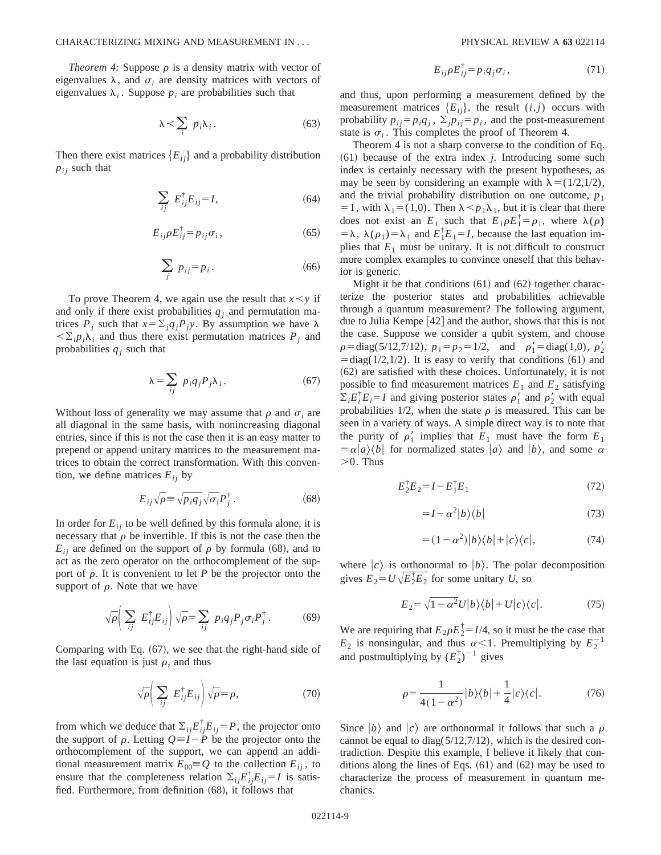*Theorem 4:* Suppose  $\rho$  is a density matrix with vector of eigenvalues  $\lambda$ , and  $\sigma_i$  are density matrices with vectors of eigenvalues  $\lambda_i$ . Suppose  $p_i$  are probabilities such that

$$
\lambda \leq \sum_{i} p_i \lambda_i. \tag{63}
$$

Then there exist matrices  ${E_{ij}}$  and a probability distribution  $p_{ij}$  such that

$$
\sum_{ij} E_{ij}^{\dagger} E_{ij} = I,\tag{64}
$$

$$
E_{ij}\rho E_{ij}^{\dagger} = p_{ij}\sigma_i, \qquad (65)
$$

$$
\sum_{j} p_{ij} = p_i. \tag{66}
$$

To prove Theorem 4, we again use the result that  $x \leq y$  if and only if there exist probabilities  $q_i$  and permutation matrices  $P_j$  such that  $x = \sum_j q_j P_j y$ . By assumption we have  $\lambda$  $\langle \Sigma_i p_i \lambda_i \rangle$  and thus there exist permutation matrices  $P_j$  and probabilities  $q_i$  such that

$$
\lambda = \sum_{ij} p_i q_j P_j \lambda_i. \tag{67}
$$

Without loss of generality we may assume that  $\rho$  and  $\sigma_i$  are all diagonal in the same basis, with nonincreasing diagonal entries, since if this is not the case then it is an easy matter to prepend or append unitary matrices to the measurement matrices to obtain the correct transformation. With this convention, we define matrices  $E_{ij}$  by

$$
E_{ij}\sqrt{\rho} \equiv \sqrt{p_i q_j} \sqrt{\sigma_i} P_j^{\dagger}.
$$
 (68)

In order for  $E_{ij}$  to be well defined by this formula alone, it is necessary that  $\rho$  be invertible. If this is not the case then the  $E_{ii}$  are defined on the support of  $\rho$  by formula (68), and to act as the zero operator on the orthocomplement of the support of  $\rho$ . It is convenient to let *P* be the projector onto the support of  $\rho$ . Note that we have

$$
\sqrt{\rho} \left( \sum_{ij} E_{ij}^{\dagger} E_{ij} \right) \sqrt{\rho} = \sum_{ij} p_i q_j P_j \sigma_i P_j^{\dagger}.
$$
 (69)

Comparing with Eq.  $(67)$ , we see that the right-hand side of the last equation is just  $\rho$ , and thus

$$
\sqrt{\rho} \left( \sum_{ij} E_{ij}^{\dagger} E_{ij} \right) \sqrt{\rho} = \rho, \tag{70}
$$

from which we deduce that  $\Sigma_{ij} E_{ij}^{\dagger} E_{ij} = P$ , the projector onto the support of  $\rho$ . Letting  $Q = I - P$  be the projector onto the orthocomplement of the support, we can append an additional measurement matrix  $E_{00} = Q$  to the collection  $E_{ij}$ , to ensure that the completeness relation  $\Sigma_{ij} E_{ij}^{\dagger} E_{ij} = I$  is satisfied. Furthermore, from definition  $(68)$ , it follows that

$$
E_{ij}\rho E_{ij}^{\dagger} = p_i q_j \sigma_i, \qquad (71)
$$

and thus, upon performing a measurement defined by the measurement matrices  ${E_{ij}}$ , the result  $(i,j)$  occurs with probability  $p_{ij} = p_i q_j$ ,  $\sum_j p_{ij} = p_i$ , and the post-measurement state is  $\sigma_i$ . This completes the proof of Theorem 4.

Theorem 4 is not a sharp converse to the condition of Eq.  $(61)$  because of the extra index *j*. Introducing some such index is certainly necessary with the present hypotheses, as may be seen by considering an example with  $\lambda = (1/2,1/2)$ , and the trivial probability distribution on one outcome,  $p_1$ = 1, with  $\lambda_1$  = (1,0). Then  $\lambda \leq p_1 \lambda_1$ , but it is clear that there does not exist an  $E_1$  such that  $E_1 \rho E_1^{\dagger} = \rho_1$ , where  $\lambda(\rho)$  $= \lambda$ ,  $\lambda(\rho_1) = \lambda_1$  and  $E_1^{\dagger} E_1 = I$ , because the last equation implies that  $E_1$  must be unitary. It is not difficult to construct more complex examples to convince oneself that this behavior is generic.

Might it be that conditions  $(61)$  and  $(62)$  together characterize the posterior states and probabilities achievable through a quantum measurement? The following argument, due to Julia Kempe  $[42]$  and the author, shows that this is not the case. Suppose we consider a qubit system, and choose  $\rho = \text{diag}(5/12, 7/12), \ p_1 = p_2 = 1/2, \text{ and } \rho'_1 = \text{diag}(1,0), \rho'_2$  $\overline{\text{5}}$  = diag(1/2,1/2). It is easy to verify that conditions (61) and  $(62)$  are satisfied with these choices. Unfortunately, it is not possible to find measurement matrices  $E_1$  and  $E_2$  satisfying  $\sum_i E_i^{\dagger} E_i = I$  and giving posterior states  $\rho'_1$  and  $\rho'_2$  with equal probabilities 1/2, when the state  $\rho$  is measured. This can be seen in a variety of ways. A simple direct way is to note that the purity of  $\rho'_1$  implies that  $E_1$  must have the form  $E_1$  $= \alpha |a\rangle\langle b|$  for normalized states  $|a\rangle$  and  $|b\rangle$ , and some  $\alpha$  $>0$ . Thus

$$
E_2^{\dagger} E_2 = I - E_1^{\dagger} E_1 \tag{72}
$$

$$
=I - \alpha^2 |b\rangle\langle b| \tag{73}
$$

$$
=(1-\alpha^2)|b\rangle\langle b|+|c\rangle\langle c|,\tag{74}
$$

where  $|c\rangle$  is orthonormal to  $|b\rangle$ . The polar decomposition gives  $E_2 = U \sqrt{E_2^{\dagger} E_2}$  for some unitary *U*, so

$$
E_2 = \sqrt{1 - \alpha^2} U|b\rangle\langle b| + U|c\rangle\langle c|.\tag{75}
$$

We are requiring that  $E_2 \rho E_2^{\dagger} = I/4$ , so it must be the case that  $E_2$  is nonsingular, and thus  $\alpha < 1$ . Premultiplying by  $E_2^{-1}$ and postmultiplying by  $(E_2^{\dagger})^{-1}$  gives

$$
\rho = \frac{1}{4(1 - \alpha^2)} |b\rangle\langle b| + \frac{1}{4} |c\rangle\langle c|.
$$
 (76)

Since  $|b\rangle$  and  $|c\rangle$  are orthonormal it follows that such a  $\rho$ cannot be equal to diag( $5/12,7/12$ ), which is the desired contradiction. Despite this example, I believe it likely that conditions along the lines of Eqs.  $(61)$  and  $(62)$  may be used to characterize the process of measurement in quantum mechanics.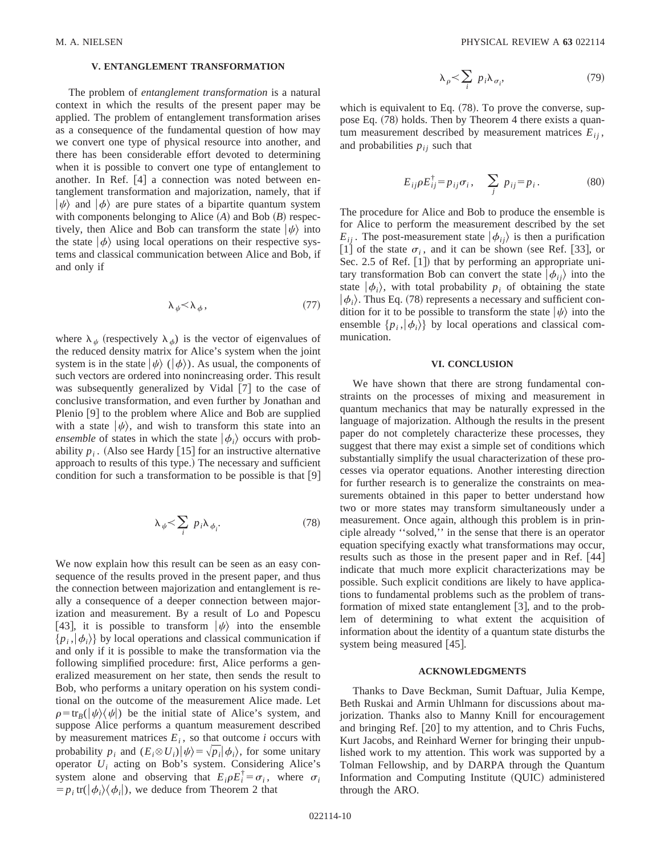## **V. ENTANGLEMENT TRANSFORMATION**

The problem of *entanglement transformation* is a natural context in which the results of the present paper may be applied. The problem of entanglement transformation arises as a consequence of the fundamental question of how may we convert one type of physical resource into another, and there has been considerable effort devoted to determining when it is possible to convert one type of entanglement to another. In Ref.  $[4]$  a connection was noted between entanglement transformation and majorization, namely, that if  $|\psi\rangle$  and  $|\phi\rangle$  are pure states of a bipartite quantum system with components belonging to Alice  $(A)$  and Bob  $(B)$  respectively, then Alice and Bob can transform the state  $|\psi\rangle$  into the state  $|\phi\rangle$  using local operations on their respective systems and classical communication between Alice and Bob, if and only if

$$
\lambda_{\psi} < \lambda_{\phi},\tag{77}
$$

where  $\lambda_{\psi}$  (respectively  $\lambda_{\phi}$ ) is the vector of eigenvalues of the reduced density matrix for Alice's system when the joint system is in the state  $|\psi\rangle$  ( $|\phi\rangle$ ). As usual, the components of such vectors are ordered into nonincreasing order. This result was subsequently generalized by Vidal  $[7]$  to the case of conclusive transformation, and even further by Jonathan and Plenio  $[9]$  to the problem where Alice and Bob are supplied with a state  $|\psi\rangle$ , and wish to transform this state into an *ensemble* of states in which the state  $|\phi_i\rangle$  occurs with probability  $p_i$ . (Also see Hardy [15] for an instructive alternative approach to results of this type.) The necessary and sufficient condition for such a transformation to be possible is that  $[9]$ 

$$
\lambda_{\psi} < \sum_{i} p_{i} \lambda_{\phi_{i}}.
$$
\n(78)

We now explain how this result can be seen as an easy consequence of the results proved in the present paper, and thus the connection between majorization and entanglement is really a consequence of a deeper connection between majorization and measurement. By a result of Lo and Popescu [43], it is possible to transform  $|\psi\rangle$  into the ensemble  $\{p_i, |\phi_i\rangle\}$  by local operations and classical communication if and only if it is possible to make the transformation via the following simplified procedure: first, Alice performs a generalized measurement on her state, then sends the result to Bob, who performs a unitary operation on his system conditional on the outcome of the measurement Alice made. Let  $\rho = \text{tr}_B(\vert \psi \rangle \langle \psi \vert)$  be the initial state of Alice's system, and suppose Alice performs a quantum measurement described by measurement matrices  $E_i$ , so that outcome *i* occurs with probability  $p_i$  and  $(E_i \otimes U_i)|\psi\rangle = \sqrt{p_i}|\phi_i\rangle$ , for some unitary operator *Ui* acting on Bob's system. Considering Alice's system alone and observing that  $E_i \rho E_i^{\dagger} = \sigma_i$ , where  $\sigma_i$  $= p_i \text{ tr}(|\phi_i\rangle\langle\phi_i|)$ , we deduce from Theorem 2 that

$$
\lambda_{\rho} < \sum_{i} p_{i} \lambda_{\sigma_{i}}, \qquad (79)
$$

which is equivalent to Eq.  $(78)$ . To prove the converse, suppose Eq.  $(78)$  holds. Then by Theorem 4 there exists a quantum measurement described by measurement matrices  $E_{ii}$ , and probabilities  $p_{ij}$  such that

$$
E_{ij}\rho E_{ij}^{\dagger} = p_{ij}\sigma_i, \quad \sum_j \ p_{ij} = p_i. \tag{80}
$$

The procedure for Alice and Bob to produce the ensemble is for Alice to perform the measurement described by the set  $E_{ij}$ . The post-measurement state  $|\phi_{ij}\rangle$  is then a purification [1] of the state  $\sigma_i$ , and it can be shown (see Ref. [33], or Sec. 2.5 of Ref.  $[1]$ ) that by performing an appropriate unitary transformation Bob can convert the state  $|\phi_{ii}\rangle$  into the state  $|\phi_i\rangle$ , with total probability  $p_i$  of obtaining the state  $|\phi_i\rangle$ . Thus Eq. (78) represents a necessary and sufficient condition for it to be possible to transform the state  $|\psi\rangle$  into the ensemble  $\{p_i, |\phi_i\rangle\}$  by local operations and classical communication.

#### **VI. CONCLUSION**

We have shown that there are strong fundamental constraints on the processes of mixing and measurement in quantum mechanics that may be naturally expressed in the language of majorization. Although the results in the present paper do not completely characterize these processes, they suggest that there may exist a simple set of conditions which substantially simplify the usual characterization of these processes via operator equations. Another interesting direction for further research is to generalize the constraints on measurements obtained in this paper to better understand how two or more states may transform simultaneously under a measurement. Once again, although this problem is in principle already ''solved,'' in the sense that there is an operator equation specifying exactly what transformations may occur, results such as those in the present paper and in Ref. [44] indicate that much more explicit characterizations may be possible. Such explicit conditions are likely to have applications to fundamental problems such as the problem of transformation of mixed state entanglement  $\lceil 3 \rceil$ , and to the problem of determining to what extent the acquisition of information about the identity of a quantum state disturbs the system being measured  $[45]$ .

## **ACKNOWLEDGMENTS**

Thanks to Dave Beckman, Sumit Daftuar, Julia Kempe, Beth Ruskai and Armin Uhlmann for discussions about majorization. Thanks also to Manny Knill for encouragement and bringing Ref.  $[20]$  to my attention, and to Chris Fuchs, Kurt Jacobs, and Reinhard Werner for bringing their unpublished work to my attention. This work was supported by a Tolman Fellowship, and by DARPA through the Quantum Information and Computing Institute (QUIC) administered through the ARO.